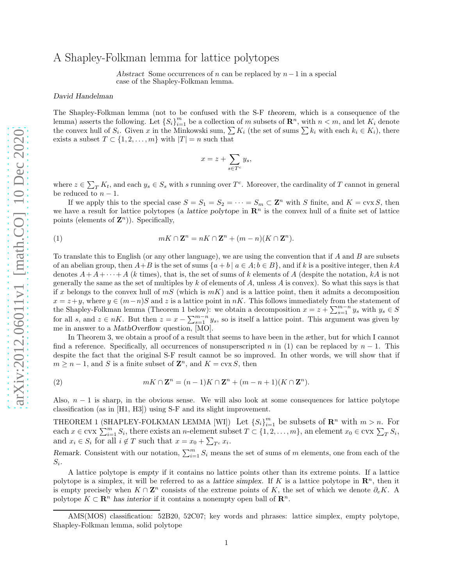## A Shapley-Folkman lemma for lattice polytopes

Abstract Some occurrences of n can be replaced by  $n-1$  in a special case of the Shapley-Folkman lemma.

## David Handelman

The Shapley-Folkman lemma (not to be confused with the S-F theorem, which is a consequence of the lemma) asserts the following. Let  $\{S_i\}_{i=1}^m$  be a collection of m subsets of  $\mathbb{R}^n$ , with  $n < m$ , and let  $K_i$  denote the convex hull of  $S_i$ . Given x in the Minkowski sum,  $\sum K_i$  (the set of sums  $\sum k_i$  with each  $k_i \in K_i$ ), there exists a subset  $T \subset \{1, 2, \ldots, m\}$  with  $|T| = n$  such that

$$
x = z + \sum_{s \in T^c} y_s,
$$

where  $z \in \sum_{T} K_t$ , and each  $y_s \in S_s$  with s running over  $T^c$ . Moreover, the cardinality of T cannot in general be reduced to  $n-1$ .

If we apply this to the special case  $S = S_1 = S_2 = \cdots = S_m \subset \mathbb{Z}^n$  with S finite, and  $K = \text{cvx } S$ , then we have a result for lattice polytopes (a *lattice polytope* in  $\mathbb{R}^n$  is the convex hull of a finite set of lattice points (elements of  $\mathbf{Z}^n$ )). Specifically,

(1) 
$$
mK \cap \mathbf{Z}^n = nK \cap \mathbf{Z}^n + (m-n)(K \cap \mathbf{Z}^n).
$$

To translate this to English (or any other language), we are using the convention that if A and B are subsets of an abelian group, then  $A+B$  is the set of sums  $\{a + b \mid a \in A; b \in B\}$ , and if k is a positive integer, then kA denotes  $A+A+\cdots+A$  (k times), that is, the set of sums of k elements of A (despite the notation, kA is not generally the same as the set of multiples by  $k$  of elements of  $A$ , unless  $A$  is convex). So what this says is that if x belongs to the convex hull of  $mS$  (which is  $mK$ ) and is a lattice point, then it admits a decomposition  $x = z + y$ , where  $y \in (m-n)S$  and z is a lattice point in nK. This follows immediately from the statement of the Shapley-Folkman lemma (Theorem 1 below): we obtain a decomposition  $x = z + \sum_{s=1}^{m-n} y_s$  with  $y_s \in S$ for all s, and  $z \in nK$ . But then  $z = x - \sum_{s=1}^{m-n} y_s$ , so is itself a lattice point. This argument was given by me in answer to a MathOverflow question, [MO].

In Theorem 3, we obtain a proof of a result that seems to have been in the æther, but for which I cannot find a reference. Specifically, all occurrences of nonsuperscripted n in (1) can be replaced by  $n-1$ . This despite the fact that the original S-F result cannot be so improved. In other words, we will show that if  $m \geq n-1$ , and S is a finite subset of  $\mathbb{Z}^n$ , and  $K = \text{cvx } S$ , then

(2) 
$$
mK \cap \mathbf{Z}^n = (n-1)K \cap \mathbf{Z}^n + (m-n+1)(K \cap \mathbf{Z}^n).
$$

Also,  $n-1$  is sharp, in the obvious sense. We will also look at some consequences for lattice polytope classification (as in [H1, H3]) using S-F and its slight improvement.

THEOREM 1 (SHAPLEY-FOLKMAN LEMMA [WI]) Let  $\{S_i\}_{i=1}^m$  be subsets of  $\mathbb{R}^n$  with  $m > n$ . For each  $x \in \text{cvx } \sum_{i=1}^m S_i$ , there exists an n-element subset  $T \subset \{1, 2, ..., m\}$ , an element  $x_0 \in \text{cvx } \sum_T S_i$ , and  $x_i \in S_i$  for all  $i \notin T$  such that  $x = x_0 + \sum_{T^c} x_i$ .

Remark. Consistent with our notation,  $\sum_{i=1}^{m} S_i$  means the set of sums of m elements, one from each of the  $S_i.$ 

A lattice polytope is empty if it contains no lattice points other than its extreme points. If a lattice polytope is a simplex, it will be referred to as a lattice simplex. If K is a lattice polytope in  $\mathbb{R}^n$ , then it is empty precisely when  $K \cap \mathbb{Z}^n$  consists of the extreme points of K, the set of which we denote  $\partial_e K$ . A polytope  $K \subset \mathbb{R}^n$  has interior if it contains a nonempty open ball of  $\mathbb{R}^n$ .

AMS(MOS) classification: 52B20, 52C07; key words and phrases: lattice simplex, empty polytope, Shapley-Folkman lemma, solid polytope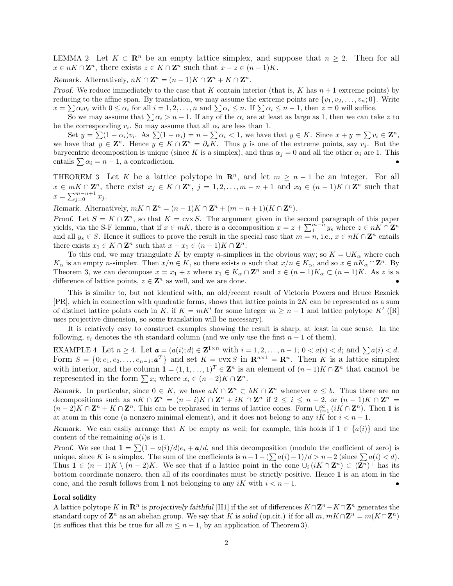LEMMA 2 Let  $K \subset \mathbb{R}^n$  be an empty lattice simplex, and suppose that  $n \geq 2$ . Then for all  $x \in nK \cap \mathbb{Z}^n$ , there exists  $z \in K \cap \mathbb{Z}^n$  such that  $x - z \in (n-1)K$ .

Remark. Alternatively,  $nK \cap \mathbf{Z}^n = (n-1)K \cap \mathbf{Z}^n + K \cap \mathbf{Z}^n$ .

Proof. We reduce immediately to the case that K contain interior (that is, K has  $n+1$  extreme points) by reducing to the affine span. By translation, we may assume the extreme points are  $\{v_1, v_2, \ldots, v_n; 0\}$ . Write  $x = \sum \alpha_i v_i$  with  $0 \le \alpha_i$  for all  $i = 1, 2, ..., n$  and  $\sum \alpha_i \le n$ . If  $\sum \alpha_i \le n - 1$ , then  $z = 0$  will suffice.

So we may assume that  $\sum \alpha_i > n - 1$ . If any of the  $\alpha_i$  are at least as large as 1, then we can take z to be the corresponding  $v_i$ . So may assume that all  $\alpha_i$  are less than 1.

Set  $y = \sum (1 - \alpha_i)v_i$ . As  $\sum (1 - \alpha_i) = n - \sum \alpha_i < 1$ , we have that  $y \in K$ . Since  $x + y = \sum v_i \in \mathbb{Z}^n$ , we have that  $y \in \mathbf{Z}^n$ . Hence  $y \in K \cap \mathbf{Z}^n = \partial_e \overline{K}$ . Thus y is one of the extreme points, say  $v_j$ . But the barycentric decomposition is unique (since K is a simplex), and thus  $\alpha_i = 0$  and all the other  $\alpha_i$  are 1. This entails  $\sum \alpha_i = n - 1$ , a contradiction.

THEOREM 3 Let K be a lattice polytope in  $\mathbb{R}^n$ , and let  $m \geq n-1$  be an integer. For all  $x \in mK \cap \mathbb{Z}^n$ , there exist  $x_j \in K \cap \mathbb{Z}^n$ ,  $j = 1, 2, ..., m - n + 1$  and  $x_0 \in (n-1)K \cap \mathbb{Z}^n$  such that  $x = \sum_{j=0}^{m-n+1} x_j.$ 

Remark. Alternatively,  $mK \cap \mathbf{Z}^n = (n-1)K \cap \mathbf{Z}^n + (m-n+1)(K \cap \mathbf{Z}^n)$ .

Proof. Let  $S = K \cap \mathbb{Z}^n$ , so that  $K = \text{cvx } S$ . The argument given in the second paragraph of this paper yields, via the S-F lemma, that if  $x \in mK$ , there is a decomposition  $x = z + \sum_{1}^{m-n} y_s$  where  $z \in nK \cap \mathbb{Z}^n$ and all  $y_s \in S$ . Hence it suffices to prove the result in the special case that  $m = n$ , i.e.,  $x \in nK \cap \mathbb{Z}^n$  entails there exists  $x_1 \in K \cap \mathbb{Z}^n$  such that  $x - x_1 \in (n-1)K \cap \mathbb{Z}^n$ .

To this end, we may triangulate K by empty n-simplices in the obvious way; so  $K = \bigcup K_{\alpha}$  where each  $K_{\alpha}$  is an empty n-simplex. Then  $x/n \in K$ , so there exists  $\alpha$  such that  $x/n \in K_{\alpha}$ , and so  $x \in nK_{\alpha} \cap \mathbb{Z}^n$ . By Theorem 3, we can decompose  $x = x_1 + z$  where  $x_1 \in K_\alpha \cap \mathbb{Z}^n$  and  $z \in (n-1)K_\alpha \subset (n-1)K$ . As z is a difference of lattice points,  $z \in \mathbb{Z}^n$  as well, and we are done.

This is similar to, but not identical with, an old/recent result of Victoria Powers and Bruce Reznick  $[PR]$ , which in connection with quadratic forms, shows that lattice points in 2K can be represented as a sum of distinct lattice points each in K, if  $K = mK'$  for some integer  $m \geq n-1$  and lattice polytope K' ([R] uses projective dimension, so some translation will be necessary).

It is relatively easy to construct examples showing the result is sharp, at least in one sense. In the following,  $e_i$  denotes the *i*th standard column (and we only use the first  $n-1$  of them).

EXAMPLE 4 Let  $n \geq 4$ . Let  $\mathbf{a} = (a(i); d) \in \mathbf{Z}^{1 \times n}$  with  $i = 1, 2, \ldots, n-1$ ;  $0 < a(i) < d$ ; and  $\sum a(i) < d$ . Form  $S = \{0; e_1, e_2, \ldots, e_{n-1}; \mathbf{a}^T\}$  and set  $K = \text{cvx } S$  in  $\mathbf{R}^{n \times 1} = \mathbf{R}^n$ . Then K is a lattice simplex with interior, and the column  $\mathbf{1} = (1, 1, \dots, 1)^T \in \mathbf{Z}^n$  is an element of  $(n-1)K \cap \mathbf{Z}^n$  that cannot be represented in the form  $\sum x_i$  where  $x_i \in (n-2)K \cap \mathbb{Z}^n$ .

Remark. In particular, since  $0 \in K$ , we have  $aK \cap \mathbb{Z}^n \subset bK \cap \mathbb{Z}^n$  whenever  $a \leq b$ . Thus there are no decompositions such as  $nK \cap \mathbf{Z}^n = (n-i)K \cap \mathbf{Z}^n + iK \cap \mathbf{Z}^n$  if  $2 \le i \le n-2$ , or  $(n-1)K \cap \mathbf{Z}^n =$  $(n-2)K \cap \mathbb{Z}^n + K \cap \mathbb{Z}^n$ . This can be rephrased in terms of lattice cones. Form  $\bigcup_{i=1}^{\infty} (iK \cap \mathbb{Z}^n)$ . Then 1 is at atom in this cone (a nonzero minimal element), and it does not belong to any iK for  $i < n - 1$ .

Remark. We can easily arrange that K be empty as well; for example, this holds if  $1 \in \{a(i)\}\$ and the content of the remaining  $a(i)$ s is 1.

Proof. We see that  $\mathbf{1} = \sum (1 - a(i)/d)e_i + a/d$ , and this decomposition (modulo the coefficient of zero) is unique, since K is a simplex. The sum of the coefficients is  $n-1-(\sum a(i)-1)/d > n-2$  (since  $\sum a(i) < d$ ). Thus  $\mathbf{1} \in (n-1)K \setminus (n-2)K$ . We see that if a lattice point in the cone  $\cup_i (iK \cap \mathbf{Z}^n) \subset (\mathbf{Z}^n)^+$  has its bottom coordinate nonzero, then all of its coordinates must be strictly positive. Hence 1 is an atom in the cone, and the result follows from 1 not belonging to any iK with  $i < n - 1$ .

## Local solidity

A lattice polytope K in  $\mathbb{R}^n$  is projectively faithful [H1] if the set of differences  $K \cap \mathbb{Z}^n - K \cap \mathbb{Z}^n$  generates the standard copy of  $\mathbf{Z}^n$  as an abelian group. We say that K is solid (op.cit.) if for all  $m, mK \cap \mathbf{Z}^n = m(K \cap \mathbf{Z}^n)$ (it suffices that this be true for all  $m \leq n-1$ , by an application of Theorem 3).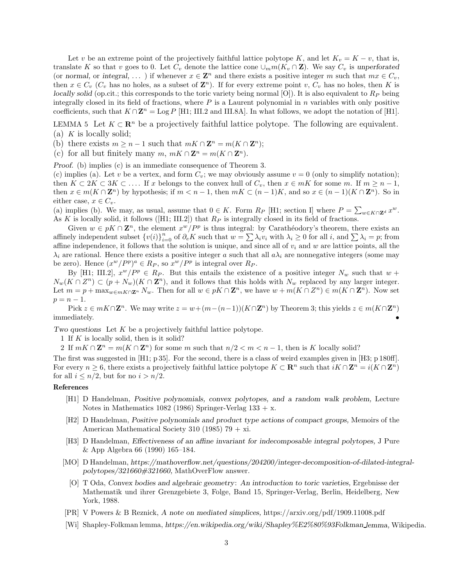Let v be an extreme point of the projectively faithful lattice polytope K, and let  $K_v = K - v$ , that is, translate K so that v goes to 0. Let  $C_v$  denote the lattice cone  $\cup_m m(K_v \cap \mathbf{Z})$ . We say  $C_v$  is unperforated (or normal, or integral, ...) if whenever  $x \in \mathbb{Z}^n$  and there exists a positive integer m such that  $mx \in C_v$ , then  $x \in C_v$  ( $C_v$  has no holes, as a subset of  $\mathbb{Z}^n$ ). If for every extreme point  $v, C_v$  has no holes, then K is locally solid (op.cit.; this corresponds to the toric variety being normal [O]). It is also equivalent to  $R_P$  being integrally closed in its field of fractions, where  $P$  is a Laurent polynomial in  $n$  variables with only positive coefficients, such that  $K \cap \mathbb{Z}^n = \text{Log } P$  [H1; III.2 and III.8A]. In what follows, we adopt the notation of [H1].

LEMMA 5 Let  $K \subset \mathbb{R}^n$  be a projectively faithful lattice polytope. The following are equivalent. (a)  $K$  is locally solid;

- (b) there exists  $m \geq n-1$  such that  $mK \cap \mathbf{Z}^n = m(K \cap \mathbf{Z}^n);$
- (c) for all but finitely many  $m, mK \cap \mathbf{Z}^n = m(K \cap \mathbf{Z}^n)$ .

Proof. (b) implies (c) is an immediate consequence of Theorem 3.

(c) implies (a). Let v be a vertex, and form  $C_v$ ; we may obviously assume  $v = 0$  (only to simplify notation); then  $K \subset 2K \subset 3K \subset \ldots$  If x belongs to the convex hull of  $C_v$ , then  $x \in mK$  for some m. If  $m \geq n-1$ , then  $x \in m(K \cap \mathbb{Z}^n)$  by hypothesis; if  $m < n - 1$ , then  $mK \subset (n - 1)K$ , and so  $x \in (n - 1)(K \cap \mathbb{Z}^n)$ . So in either case,  $x \in C_v$ .

(a) implies (b). We may, as usual, assume that  $0 \in K$ . Form  $R_P$  [H1; section I] where  $P = \sum_{w \in K \cap \mathbf{Z}^d} x^w$ . As K is locally solid, it follows ( $[H1; III.2]$ ) that  $R_P$  is integrally closed in its field of fractions.

Given  $w \in pK \cap \mathbb{Z}^n$ , the element  $x^w/P^p$  is thus integral: by Carathéodory's theorem, there exists an affinely independent subset  ${v(i)}_{i=0}^n$  of  $\partial_e K$  such that  $w = \sum_i \lambda_i v_i$  with  $\lambda_i \geq 0$  for all i, and  $\sum_i \lambda_i = p$ ; from affine independence, it follows that the solution is unique, and since all of  $v_i$  and  $w$  are lattice points, all the  $\lambda_i$  are rational. Hence there exists a positive integer a such that all  $a\lambda_i$  are nonnegative integers (some may be zero). Hence  $(x^w/P^p)^a \in R_P$ , so  $x^w/P^p$  is integral over  $R_P$ .

By [H1; III.2],  $x^w/P^p \in R_P$ . But this entails the existence of a positive integer  $N_w$  such that  $w +$  $N_w(K \cap Z^n) \subset (p + N_w)(K \cap \mathbb{Z}^n)$ , and it follows that this holds with  $N_w$  replaced by any larger integer. Let  $m = p + \max_{w \in mK \cap \mathbb{Z}^n} N_w$ . Then for all  $w \in pK \cap \mathbb{Z}^n$ , we have  $w + m(K \cap \mathbb{Z}^n) \in m(K \cap \mathbb{Z}^n)$ . Now set  $p = n - 1.$ 

Pick  $z \in mK \cap \mathbb{Z}^n$ . We may write  $z = w + (m - (n-1))(K \cap \mathbb{Z}^n)$  by Theorem 3; this yields  $z \in m(K \cap \mathbb{Z}^n)$ immediately.

Two questions Let K be a projectively faithful lattice polytope.

1 If K is locally solid, then is it solid?

2 If  $mK \cap \mathbb{Z}^n = m(K \cap \mathbb{Z}^n)$  for some m such that  $n/2 < m < n-1$ , then is K locally solid?

The first was suggested in [H1; p 35]. For the second, there is a class of weird examples given in [H3; p 180ff]. For every  $n \geq 6$ , there exists a projectively faithful lattice polytope  $K \subset \mathbb{R}^n$  such that  $iK \cap \mathbb{Z}^n = i(K \cap \mathbb{Z}^n)$ for all  $i \leq n/2$ , but for no  $i > n/2$ .

## References

- [H1] D Handelman, Positive polynomials, convex polytopes, and a random walk problem, Lecture Notes in Mathematics 1082 (1986) Springer-Verlag  $133 + x$ .
- [H2] D Handelman, Positive polynomials and product type actions of compact groups, Memoirs of the American Mathematical Society 310 (1985) 79  $+$  xi.
- [H3] D Handelman, Effectiveness of an affine invariant for indecomposable integral polytopes, J Pure & App Algebra 66 (1990) 165–184.
- [MO] D Handelman, https://mathoverflow.net/questions/204200/integer-decomposition-of-dilated-integralpolytopes/321660#321660, MathOverFlow answer.
	- [O] T Oda, Convex bodies and algebraic geometry: An introduction to toric varieties, Ergebnisse der Mathematik und ihrer Grenzgebiete 3, Folge, Band 15, Springer-Verlag, Berlin, Heidelberg, New York, 1988.
- [PR] V Powers & B Reznick, A note on mediated simplices, https://arxiv.org/pdf/1909.11008.pdf
- [Wi] Shapley-Folkman lemma, https://en.wikipedia.org/wiki/Shapley%E2%80%93Folkman lemma, Wikipedia.